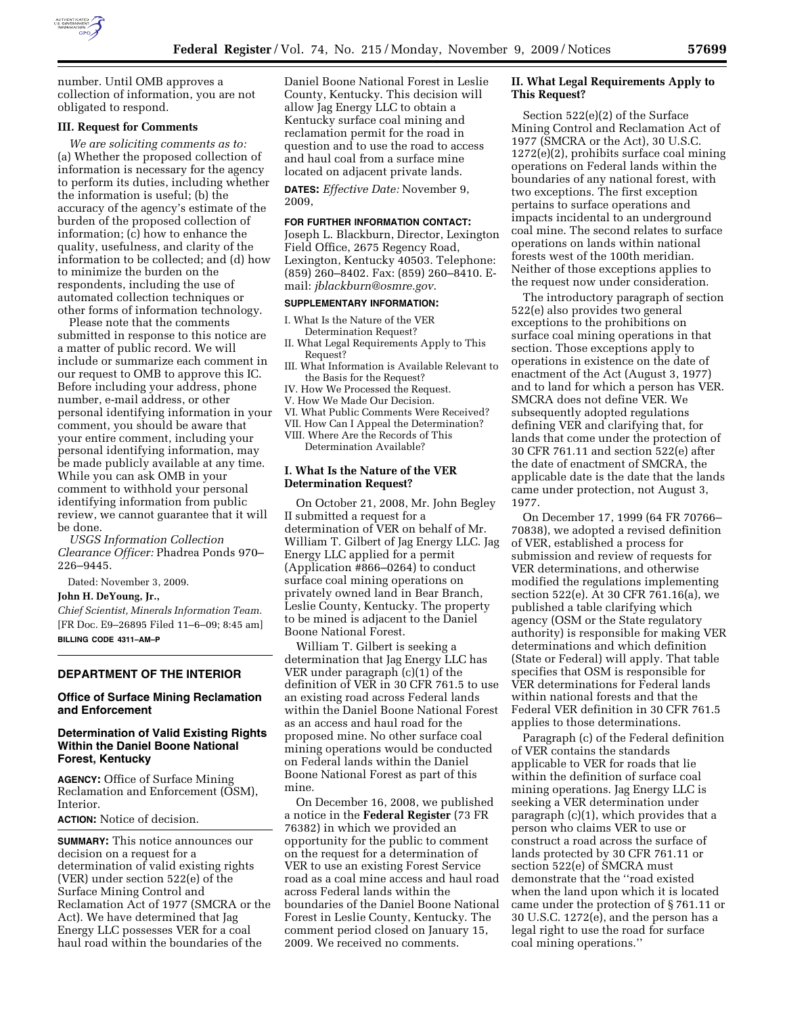

number. Until OMB approves a collection of information, you are not obligated to respond.

## **III. Request for Comments**

*We are soliciting comments as to:*  (a) Whether the proposed collection of information is necessary for the agency to perform its duties, including whether the information is useful; (b) the accuracy of the agency's estimate of the burden of the proposed collection of information; (c) how to enhance the quality, usefulness, and clarity of the information to be collected; and (d) how to minimize the burden on the respondents, including the use of automated collection techniques or other forms of information technology.

Please note that the comments submitted in response to this notice are a matter of public record. We will include or summarize each comment in our request to OMB to approve this IC. Before including your address, phone number, e-mail address, or other personal identifying information in your comment, you should be aware that your entire comment, including your personal identifying information, may be made publicly available at any time. While you can ask OMB in your comment to withhold your personal identifying information from public review, we cannot guarantee that it will be done.

*USGS Information Collection Clearance Officer:* Phadrea Ponds 970– 226–9445.

Dated: November 3, 2009.

#### **John H. DeYoung, Jr.,**

*Chief Scientist, Minerals Information Team.*  [FR Doc. E9–26895 Filed 11–6–09; 8:45 am] **BILLING CODE 4311–AM–P** 

### **DEPARTMENT OF THE INTERIOR**

# **Office of Surface Mining Reclamation and Enforcement**

# **Determination of Valid Existing Rights Within the Daniel Boone National Forest, Kentucky**

**AGENCY:** Office of Surface Mining Reclamation and Enforcement (OSM), Interior.

**ACTION:** Notice of decision.

**SUMMARY:** This notice announces our decision on a request for a determination of valid existing rights (VER) under section 522(e) of the Surface Mining Control and Reclamation Act of 1977 (SMCRA or the Act). We have determined that Jag Energy LLC possesses VER for a coal haul road within the boundaries of the

Daniel Boone National Forest in Leslie County, Kentucky. This decision will allow Jag Energy LLC to obtain a Kentucky surface coal mining and reclamation permit for the road in question and to use the road to access and haul coal from a surface mine located on adjacent private lands.

**DATES:** *Effective Date:* November 9, 2009,

#### **FOR FURTHER INFORMATION CONTACT:**

Joseph L. Blackburn, Director, Lexington Field Office, 2675 Regency Road, Lexington, Kentucky 40503. Telephone: (859) 260–8402. Fax: (859) 260–8410. Email: *jblackburn@osmre.gov*.

## **SUPPLEMENTARY INFORMATION:**

- I. What Is the Nature of the VER Determination Request?
- II. What Legal Requirements Apply to This Request?
- III. What Information is Available Relevant to the Basis for the Request?
- IV. How We Processed the Request.
- V. How We Made Our Decision.
- VI. What Public Comments Were Received?
- VII. How Can I Appeal the Determination? VIII. Where Are the Records of This
- Determination Available?

# **I. What Is the Nature of the VER Determination Request?**

On October 21, 2008, Mr. John Begley II submitted a request for a determination of VER on behalf of Mr. William T. Gilbert of Jag Energy LLC. Jag Energy LLC applied for a permit (Application #866–0264) to conduct surface coal mining operations on privately owned land in Bear Branch, Leslie County, Kentucky. The property to be mined is adjacent to the Daniel Boone National Forest.

William T. Gilbert is seeking a determination that Jag Energy LLC has VER under paragraph (c)(1) of the definition of VER in 30 CFR 761.5 to use an existing road across Federal lands within the Daniel Boone National Forest as an access and haul road for the proposed mine. No other surface coal mining operations would be conducted on Federal lands within the Daniel Boone National Forest as part of this mine.

On December 16, 2008, we published a notice in the **Federal Register** (73 FR 76382) in which we provided an opportunity for the public to comment on the request for a determination of VER to use an existing Forest Service road as a coal mine access and haul road across Federal lands within the boundaries of the Daniel Boone National Forest in Leslie County, Kentucky. The comment period closed on January 15, 2009. We received no comments.

# **II. What Legal Requirements Apply to This Request?**

Section 522(e)(2) of the Surface Mining Control and Reclamation Act of 1977 (SMCRA or the Act), 30 U.S.C. 1272(e)(2), prohibits surface coal mining operations on Federal lands within the boundaries of any national forest, with two exceptions. The first exception pertains to surface operations and impacts incidental to an underground coal mine. The second relates to surface operations on lands within national forests west of the 100th meridian. Neither of those exceptions applies to the request now under consideration.

The introductory paragraph of section 522(e) also provides two general exceptions to the prohibitions on surface coal mining operations in that section. Those exceptions apply to operations in existence on the date of enactment of the Act (August 3, 1977) and to land for which a person has VER. SMCRA does not define VER. We subsequently adopted regulations defining VER and clarifying that, for lands that come under the protection of 30 CFR 761.11 and section 522(e) after the date of enactment of SMCRA, the applicable date is the date that the lands came under protection, not August 3, 1977.

On December 17, 1999 (64 FR 70766– 70838), we adopted a revised definition of VER, established a process for submission and review of requests for VER determinations, and otherwise modified the regulations implementing section 522(e). At 30 CFR 761.16(a), we published a table clarifying which agency (OSM or the State regulatory authority) is responsible for making VER determinations and which definition (State or Federal) will apply. That table specifies that OSM is responsible for VER determinations for Federal lands within national forests and that the Federal VER definition in 30 CFR 761.5 applies to those determinations.

Paragraph (c) of the Federal definition of VER contains the standards applicable to VER for roads that lie within the definition of surface coal mining operations. Jag Energy LLC is seeking a VER determination under paragraph (c)(1), which provides that a person who claims VER to use or construct a road across the surface of lands protected by 30 CFR 761.11 or section 522(e) of SMCRA must demonstrate that the ''road existed when the land upon which it is located came under the protection of § 761.11 or 30 U.S.C. 1272(e), and the person has a legal right to use the road for surface coal mining operations.''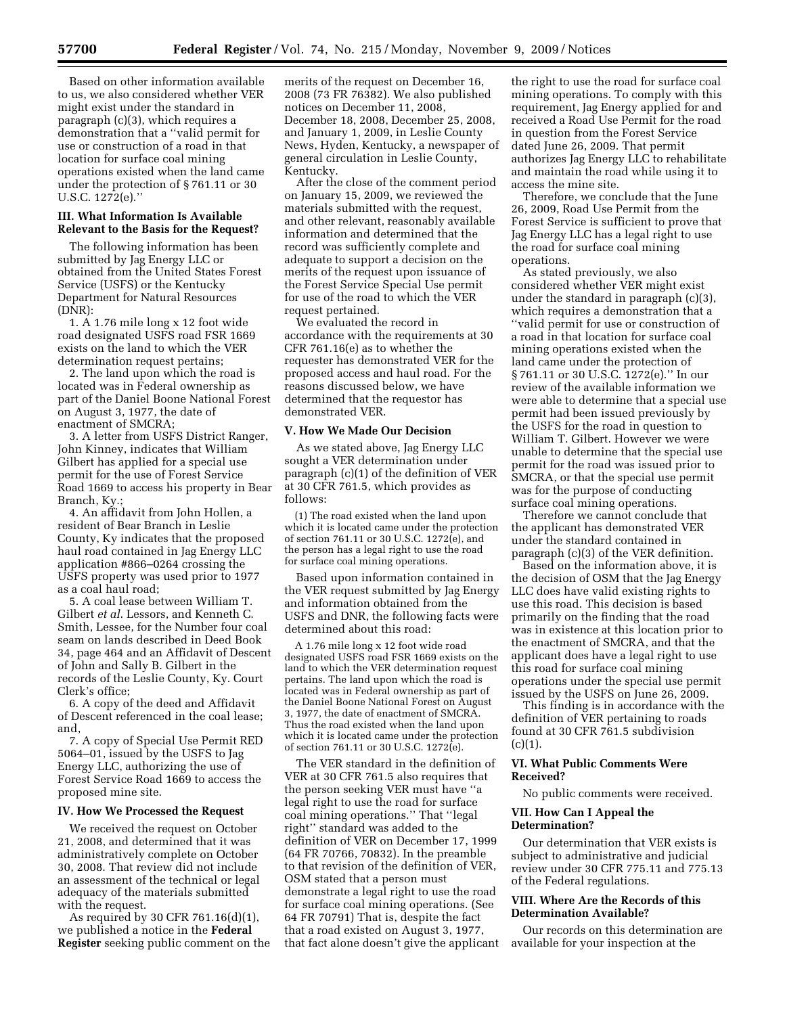Based on other information available to us, we also considered whether VER might exist under the standard in paragraph (c)(3), which requires a demonstration that a ''valid permit for use or construction of a road in that location for surface coal mining operations existed when the land came under the protection of § 761.11 or 30 U.S.C. 1272(e).''

## **III. What Information Is Available Relevant to the Basis for the Request?**

The following information has been submitted by Jag Energy LLC or obtained from the United States Forest Service (USFS) or the Kentucky Department for Natural Resources (DNR):

1. A 1.76 mile long x 12 foot wide road designated USFS road FSR 1669 exists on the land to which the VER determination request pertains;

2. The land upon which the road is located was in Federal ownership as part of the Daniel Boone National Forest on August 3, 1977, the date of enactment of SMCRA;

3. A letter from USFS District Ranger, John Kinney, indicates that William Gilbert has applied for a special use permit for the use of Forest Service Road 1669 to access his property in Bear Branch, Ky.;

4. An affidavit from John Hollen, a resident of Bear Branch in Leslie County, Ky indicates that the proposed haul road contained in Jag Energy LLC application #866–0264 crossing the USFS property was used prior to 1977 as a coal haul road;

5. A coal lease between William T. Gilbert *et al*. Lessors, and Kenneth C. Smith, Lessee, for the Number four coal seam on lands described in Deed Book 34, page 464 and an Affidavit of Descent of John and Sally B. Gilbert in the records of the Leslie County, Ky. Court Clerk's office;

6. A copy of the deed and Affidavit of Descent referenced in the coal lease; and,

7. A copy of Special Use Permit RED 5064–01, issued by the USFS to Jag Energy LLC, authorizing the use of Forest Service Road 1669 to access the proposed mine site.

### **IV. How We Processed the Request**

We received the request on October 21, 2008, and determined that it was administratively complete on October 30, 2008. That review did not include an assessment of the technical or legal adequacy of the materials submitted with the request.

As required by 30 CFR 761.16(d)(1), we published a notice in the **Federal Register** seeking public comment on the merits of the request on December 16, 2008 (73 FR 76382). We also published notices on December 11, 2008, December 18, 2008, December 25, 2008, and January 1, 2009, in Leslie County News, Hyden, Kentucky, a newspaper of general circulation in Leslie County, Kentucky.

After the close of the comment period on January 15, 2009, we reviewed the materials submitted with the request, and other relevant, reasonably available information and determined that the record was sufficiently complete and adequate to support a decision on the merits of the request upon issuance of the Forest Service Special Use permit for use of the road to which the VER request pertained.

We evaluated the record in accordance with the requirements at 30 CFR 761.16(e) as to whether the requester has demonstrated VER for the proposed access and haul road. For the reasons discussed below, we have determined that the requestor has demonstrated VER.

#### **V. How We Made Our Decision**

As we stated above, Jag Energy LLC sought a VER determination under paragraph (c)(1) of the definition of VER at 30 CFR 761.5, which provides as follows:

(1) The road existed when the land upon which it is located came under the protection of section 761.11 or 30 U.S.C. 1272(e), and the person has a legal right to use the road for surface coal mining operations.

Based upon information contained in the VER request submitted by Jag Energy and information obtained from the USFS and DNR, the following facts were determined about this road:

A 1.76 mile long x 12 foot wide road designated USFS road FSR 1669 exists on the land to which the VER determination request pertains. The land upon which the road is located was in Federal ownership as part of the Daniel Boone National Forest on August 3, 1977, the date of enactment of SMCRA. Thus the road existed when the land upon which it is located came under the protection of section 761.11 or 30 U.S.C. 1272(e).

The VER standard in the definition of VER at 30 CFR 761.5 also requires that the person seeking VER must have ''a legal right to use the road for surface coal mining operations.'' That ''legal right'' standard was added to the definition of VER on December 17, 1999 (64 FR 70766, 70832). In the preamble to that revision of the definition of VER, OSM stated that a person must demonstrate a legal right to use the road for surface coal mining operations. (See 64 FR 70791) That is, despite the fact that a road existed on August 3, 1977, that fact alone doesn't give the applicant

the right to use the road for surface coal mining operations. To comply with this requirement, Jag Energy applied for and received a Road Use Permit for the road in question from the Forest Service dated June 26, 2009. That permit authorizes Jag Energy LLC to rehabilitate and maintain the road while using it to access the mine site.

Therefore, we conclude that the June 26, 2009, Road Use Permit from the Forest Service is sufficient to prove that Jag Energy LLC has a legal right to use the road for surface coal mining operations.

As stated previously, we also considered whether VER might exist under the standard in paragraph (c)(3), which requires a demonstration that a ''valid permit for use or construction of a road in that location for surface coal mining operations existed when the land came under the protection of § 761.11 or 30 U.S.C. 1272(e)." In our review of the available information we were able to determine that a special use permit had been issued previously by the USFS for the road in question to William T. Gilbert. However we were unable to determine that the special use permit for the road was issued prior to SMCRA, or that the special use permit was for the purpose of conducting surface coal mining operations.

Therefore we cannot conclude that the applicant has demonstrated VER under the standard contained in paragraph (c)(3) of the VER definition.

Based on the information above, it is the decision of OSM that the Jag Energy LLC does have valid existing rights to use this road. This decision is based primarily on the finding that the road was in existence at this location prior to the enactment of SMCRA, and that the applicant does have a legal right to use this road for surface coal mining operations under the special use permit issued by the USFS on June 26, 2009.

This finding is in accordance with the definition of VER pertaining to roads found at 30 CFR 761.5 subdivision  $(c)(1)$ .

# **VI. What Public Comments Were Received?**

No public comments were received.

# **VII. How Can I Appeal the Determination?**

Our determination that VER exists is subject to administrative and judicial review under 30 CFR 775.11 and 775.13 of the Federal regulations.

# **VIII. Where Are the Records of this Determination Available?**

Our records on this determination are available for your inspection at the